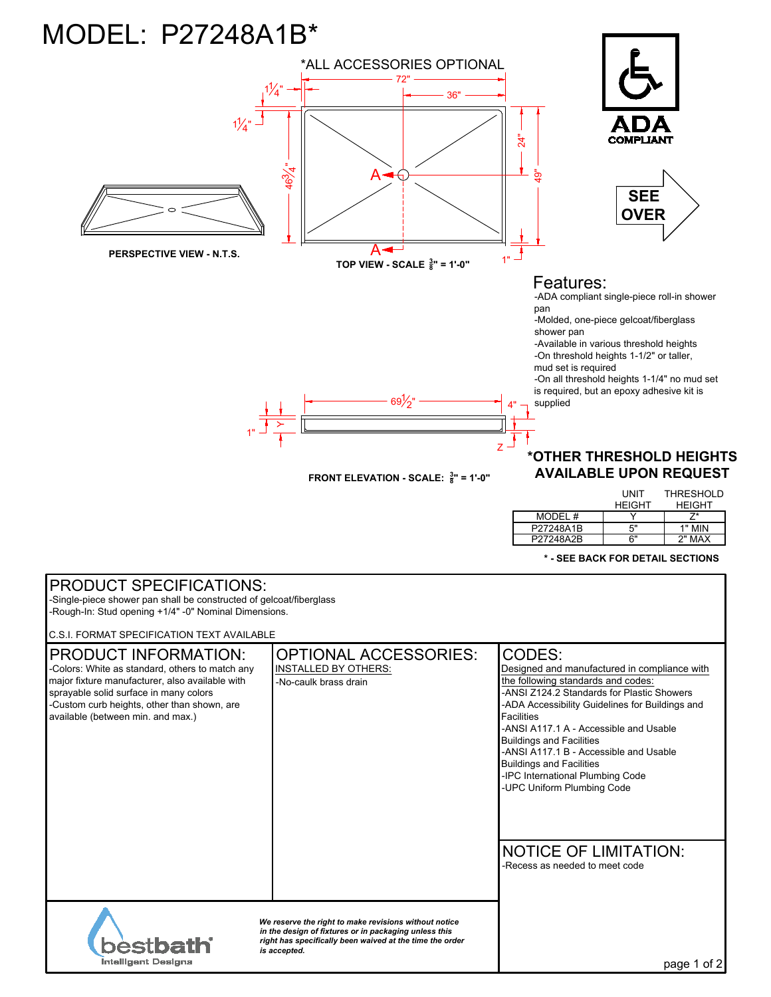## MODEL: P27248A1B\*



|           | UNIT          | THRESHOLD     |
|-----------|---------------|---------------|
|           | <b>HEIGHT</b> | <b>HEIGHT</b> |
| MODEL #   |               |               |
| P27248A1B | 5"            | 1" MIN        |
| P27248A2B | հ"            | 2" MAX        |

**\* - SEE BACK FOR DETAIL SECTIONS**

| <b>PRODUCT SPECIFICATIONS:</b><br>-Single-piece shower pan shall be constructed of gelcoat/fiberglass<br>-Rough-In: Stud opening +1/4" -0" Nominal Dimensions.                                                                                                  |                                                                                      |                                                                                                                                                                                                                                                                                                                                                                                                                                                |  |
|-----------------------------------------------------------------------------------------------------------------------------------------------------------------------------------------------------------------------------------------------------------------|--------------------------------------------------------------------------------------|------------------------------------------------------------------------------------------------------------------------------------------------------------------------------------------------------------------------------------------------------------------------------------------------------------------------------------------------------------------------------------------------------------------------------------------------|--|
| C.S.I. FORMAT SPECIFICATION TEXT AVAILABLE                                                                                                                                                                                                                      |                                                                                      |                                                                                                                                                                                                                                                                                                                                                                                                                                                |  |
| <b>PRODUCT INFORMATION:</b><br>-Colors: White as standard, others to match any<br>major fixture manufacturer, also available with<br>sprayable solid surface in many colors<br>-Custom curb heights, other than shown, are<br>available (between min. and max.) | <b>OPTIONAL ACCESSORIES:</b><br><b>INSTALLED BY OTHERS:</b><br>-No-caulk brass drain | CODES:<br>Designed and manufactured in compliance with<br>the following standards and codes:<br>-ANSI Z124.2 Standards for Plastic Showers<br>-ADA Accessibility Guidelines for Buildings and<br><b>Facilities</b><br>-ANSI A117.1 A - Accessible and Usable<br><b>Buildings and Facilities</b><br>-ANSI A117.1 B - Accessible and Usable<br><b>Buildings and Facilities</b><br>-IPC International Plumbing Code<br>-UPC Uniform Plumbing Code |  |
|                                                                                                                                                                                                                                                                 |                                                                                      | <b>NOTICE OF LIMITATION:</b><br>-Recess as needed to meet code                                                                                                                                                                                                                                                                                                                                                                                 |  |
| We reserve the right to make revisions without notice<br>in the design of fixtures or in packaging unless this<br>right has specifically been waived at the time the order<br>is accepted.<br><b>Intelligent Designs</b>                                        |                                                                                      | page 1 of 2                                                                                                                                                                                                                                                                                                                                                                                                                                    |  |